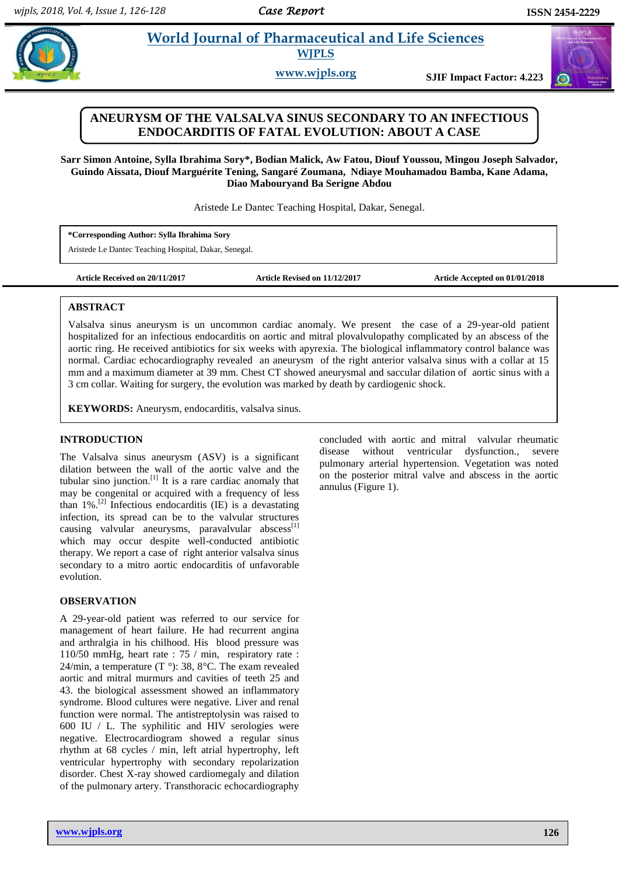# **Properties and World Journal of Pharmaceutical and Life Sciences WJPLS**

**www.wjpls.org SJIF Impact Factor: 4.223**

## **ANEURYSM OF THE VALSALVA SINUS SECONDARY TO AN INFECTIOUS ENDOCARDITIS OF FATAL EVOLUTION: ABOUT A CASE**

**Sarr Simon Antoine, Sylla Ibrahima Sory\*, Bodian Malick, Aw Fatou, Diouf Youssou, Mingou Joseph Salvador, Guindo Aissata, Diouf Marguérite Tening, Sangaré Zoumana, Ndiaye Mouhamadou Bamba, Kane Adama, Diao Mabouryand Ba Serigne Abdou**

Aristede Le Dantec Teaching Hospital, Dakar, Senegal.

**\*Corresponding Author: Sylla Ibrahima Sory**

Aristede Le Dantec Teaching Hospital, Dakar, Senegal.

**Article Received on 20/11/2017 Article Revised on 11/12/2017 Article Accepted on 01/01/2018**

### **ABSTRACT**

Valsalva sinus aneurysm is un uncommon cardiac anomaly. We present the case of a 29-year-old patient hospitalized for an infectious endocarditis on aortic and mitral plovalvulopathy complicated by an abscess of the aortic ring. He received antibiotics for six weeks with apyrexia. The biological inflammatory control balance was normal. Cardiac echocardiography revealed an aneurysm of the right anterior valsalva sinus with a collar at 15 mm and a maximum diameter at 39 mm. Chest CT showed aneurysmal and saccular dilation of aortic sinus with a 3 cm collar. Waiting for surgery, the evolution was marked by death by cardiogenic shock.

**KEYWORDS:** Aneurysm, endocarditis, valsalva sinus.

#### **INTRODUCTION**

The Valsalva sinus aneurysm (ASV) is a significant dilation between the wall of the aortic valve and the tubular sino junction. $\left[1\right]$  It is a rare cardiac anomaly that may be congenital or acquired with a frequency of less than  $1\%$ .<sup>[2]</sup> Infectious endocarditis (IE) is a devastating infection, its spread can be to the valvular structures causing valvular aneurysms, paravalvular abscess $^{[1]}$ which may occur despite well-conducted antibiotic therapy. We report a case of right anterior valsalva sinus secondary to a mitro aortic endocarditis of unfavorable evolution.

### **OBSERVATION**

A 29-year-old patient was referred to our service for management of heart failure. He had recurrent angina and arthralgia in his chilhood. His blood pressure was 110/50 mmHg, heart rate : 75 / min, respiratory rate : 24/min, a temperature (T  $\degree$ ): 38, 8 $\degree$ C. The exam revealed aortic and mitral murmurs and cavities of teeth 25 and 43. the biological assessment showed an inflammatory syndrome. Blood cultures were negative. Liver and renal function were normal. The antistreptolysin was raised to 600 IU / L. The syphilitic and HIV serologies were negative. Electrocardiogram showed a regular sinus rhythm at 68 cycles / min, left atrial hypertrophy, left ventricular hypertrophy with secondary repolarization disorder. Chest X-ray showed cardiomegaly and dilation of the pulmonary artery. Transthoracic echocardiography

concluded with aortic and mitral valvular rheumatic disease without ventricular dysfunction., severe pulmonary arterial hypertension. Vegetation was noted on the posterior mitral valve and abscess in the aortic annulus (Figure 1).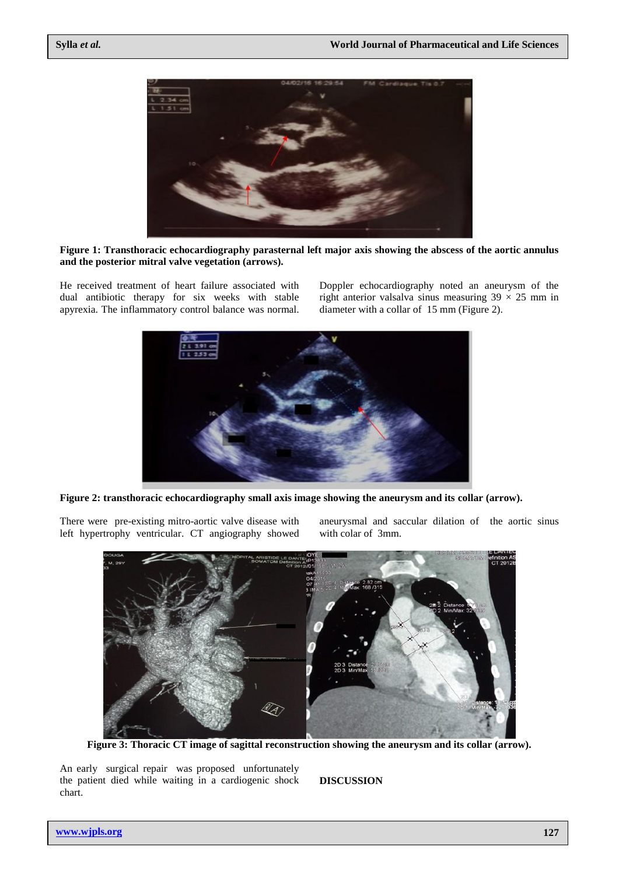

**Figure 1: Transthoracic echocardiography parasternal left major axis showing the abscess of the aortic annulus and the posterior mitral valve vegetation (arrows).**

He received treatment of heart failure associated with dual antibiotic therapy for six weeks with stable apyrexia. The inflammatory control balance was normal.

Doppler echocardiography noted an aneurysm of the right anterior valsalva sinus measuring  $39 \times 25$  mm in diameter with a collar of 15 mm (Figure 2).



**Figure 2: transthoracic echocardiography small axis image showing the aneurysm and its collar (arrow).**

There were pre-existing mitro-aortic valve disease with left hypertrophy ventricular. CT angiography showed

aneurysmal and saccular dilation of the aortic sinus with colar of 3mm.



**Figure 3: Thoracic CT image of sagittal reconstruction showing the aneurysm and its collar (arrow).**

An early surgical repair was proposed unfortunately the patient died while waiting in a cardiogenic shock chart.

**DISCUSSION**